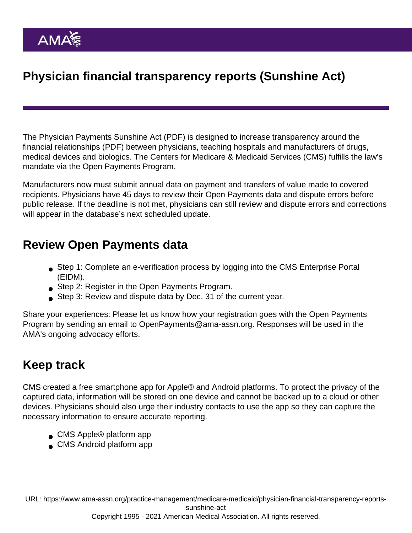# Physician financial transparency reports (Sunshine Act)

The [Physician Payments Sunshine Act](https://www.ama-assn.org/system/files/corp/media-browser/public/washington/sunshine-act-talking-points_0.pdf) (PDF) is designed to increase [transparency around the](https://www.ama-assn.org/sites/ama-assn.org/files/corp/media-browser/specialty group/washington/sunshine-act-brochure.pdf) [financial relationships](https://www.ama-assn.org/sites/ama-assn.org/files/corp/media-browser/specialty group/washington/sunshine-act-brochure.pdf) (PDF) between physicians, teaching hospitals and manufacturers of drugs, medical devices and biologics. The Centers for Medicare & Medicaid Services (CMS) fulfills the law's mandate via the Open Payments Program.

Manufacturers now must submit annual data on payment and transfers of value made to covered recipients. Physicians have 45 days to review their Open Payments data and dispute errors before public release. If the deadline is not met, physicians can still review and dispute errors and corrections will appear in the database's next scheduled update.

### Review Open Payments data

- Step 1: Complete an e-verification process by logging into the [CMS Enterprise Portal](https://portal.cms.gov/wps/portal/unauthportal/home/) (EIDM).
- Step 2: Register in the Open Payments Program.
- Step 3: Review and dispute data by Dec. 31 of the current year.

Share your experiences: Please let us know how your registration goes with the Open Payments Program by sending an email to [OpenPayments@ama-assn.org.](mailto:penpayments@ama-assn.org) Responses will be used in the AMA's ongoing advocacy efforts.

### Keep track

CMS created a free smartphone app for Apple® and Android platforms. To protect the privacy of the captured data, information will be stored on one device and cannot be backed up to a cloud or other devices. Physicians should also urge their industry contacts to use the app so they can capture the necessary information to ensure accurate reporting.

- [CMS Apple® platform app](https://itunes.apple.com/us/app/open-payments-mobile-for-physicians/id667567467?mt=8)
- [CMS Android platform app](https://play.google.com/store/apps?hl=en)

URL: [https://www.ama-assn.org/practice-management/medicare-medicaid/physician-financial-transparency-reports](https://www.ama-assn.org/practice-management/medicare-medicaid/physician-financial-transparency-reports-sunshine-act)[sunshine-act](https://www.ama-assn.org/practice-management/medicare-medicaid/physician-financial-transparency-reports-sunshine-act)